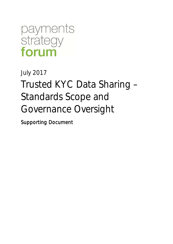payments strategy forum

# July 2017 Trusted KYC Data Sharing – Standards Scope and Governance Oversight

Supporting Document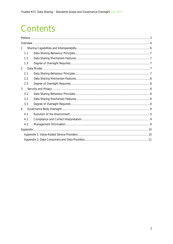# Contents

| 1              |  |  |
|----------------|--|--|
| 1.1            |  |  |
| 1.2            |  |  |
| 1.3            |  |  |
| $\overline{2}$ |  |  |
| 2.1            |  |  |
| 2.2            |  |  |
| 2.3            |  |  |
| 3              |  |  |
| 3.1            |  |  |
| 3.2            |  |  |
| 3.3            |  |  |
| $\overline{4}$ |  |  |
| 4.1            |  |  |
| 4.2            |  |  |
| 4.3            |  |  |
|                |  |  |
|                |  |  |
|                |  |  |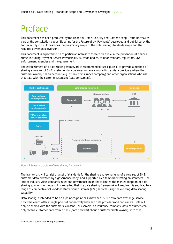# Preface

This document has been produced by the Financial Crime, Security and Data Working Group (FCWG) as part of the consultation paper 'Blueprint for the Future of UK Payments' developed and published by the Forum in July 2017. It describes the preliminary scope of the data sharing standards scope and the required governance oversight.

This document is expected to be of particular interest to those with a role in the prevention of financial crime, including Payment Service Providers (PSPs), trade bodies, solution vendors, regulators, law enforcement agencies and the government.

The establishment of a data sharing framework is recommended (see Figure 1) to provide a method of sharing a core set of SME<sup>1</sup> customer data between organisations acting as data providers where the customer already has an account (e.g. a bank or insurance company) and other organisations who use that data with the customer's consent (data consumers).



Figure 1 Schematic picture of data sharing framework

The framework will consist of a set of standards for the sharing and exchanging of a core set of SME customer data overseen by a governance body, and supported by a temporary testing environment. The lack of industry-wide standards, rules and governance might have limited the market adoption of data sharing solutions in the past. It is expected that the data sharing framework will resolve this and lead to a range of competitive value-added Know your customer (KYC) services using the evolving data sharing capability.

Data sharing is intended to be on a point-to-point basis between PSPs, or via data exchange service providers which offer a single point of connectivity between data providers and consumers. Data will only be shared with the customers' consent. For example, an insurance company (data consumer) can only receive customer data from a bank (data provider) about a customer (data owner), with that

<sup>1</sup> Small and Medium sized Enterprises (SMEs)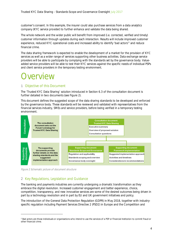customer's consent. In this example, the insurer could also purchase services from a data analytics company (KYC service provider) to further enhance and validate the data being shared.

The whole network and the wider public will benefit from improved (i.e. corrected, verified and timely) customer information through updates during each interaction. Results will include improved customer experience, reduced KYC operational costs and increased ability to identify 'bad actors'<sup>2</sup> and reduce financial crime.

The data sharing framework is expected to enable the development of a market for the provision of KYC services as well as a wider range of services supporting other business activities. Data exchange service providers will be able to participate by complying with the standards set by the governance body. Valueadded service providers will be able to test their KYC services against the specific needs of individual PSPs and client service providers in the temporary testing environment.

# ) verview

#### 1 Objective of this Document

The 'Trusted KYC Data Sharing' solution introduced in Section 6.3 of the consultation document is further detailed in two documents (see Figure 2).

This document defines the suggested scope of the data sharing standards to be developed and enforced by the governance body. These standards will be reviewed and validated with representatives from the financial services industry, SMEs and service providers, before being verified in a temporary testing environment.



Figure 2 Schematic picture of document structure

#### 2 Key Regulations, Legislation and Guidance

The banking and payments industries are currently undergoing a dramatic transformation as they embrace the digital revolution. Increased customer engagement and better experience, choice, competition, transparency, and new innovative services are some of the desired outcomes being driven in part by a technology revolution and in part by EU and UK government initiatives and policy.

The introduction of the General Data Protection Regulation (GDPR) in May 2018, together with industryspecific regulation including Payment Services Directive 2 (PSD2) in Europe and the Competition and

<sup>&</sup>lt;sup>2</sup> Bad actors are those individuals or organisations who intend to use the services of a PSP or Financial Institution to commit fraud or other financial crime.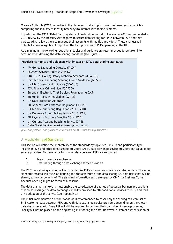Markets Authority (CMA) remedies in the UK, mean that a tipping point has been reached which is compelling the industry to identify new ways to interact with their customers.

In particular, the CMA 'Retail Banking Market Investigation' report of November 2016 recommended a 2018 review by the Treasury with regards to secure data sharing for SMEs between PSPs and third parties, which allows them to manage their accounts with multiple providers.<sup>3</sup> These changes will potentially have a significant impact on the KYC processes of PSPs operating in the UK.

As a minimum, the following regulations, topics and guidance are recommended to be taken into account when defining the data sharing standards (see Figure 3).

#### Regulations, topics and guidance with impact on KYC data sharing standards

- 4 th Money Laundering Directive (MLD4)
- Payment Services Directive 2 (PSD2)
- EBA PSD2 SCA Regulatory Technical Standards (EBA RTS)
- Joint Money Laundering Steering Group Guidance (JMLSG)  $\overline{a}$
- UK HM Government guidance (GOV.UK)
- FCA Financial Crime Guide (FCAFCG)
- European Electronic Trust Services Regulation (eIDAS)
- EU Funds Transfer Regulations (WTR2)
- UK Data Protection Act (DPA)
- EU General Data Protection Regulations (GDPR)
- UK Money Laundering Regulations 2017 (MLR)  $\overline{a}$
- UK Payments Accounts Regulations 2015 (PAR)
- EU Payments Accounts Directive 2014 (PAD)
- UK Current Account Switching Service (CASS)
- CMA 'Retail banking market investigation' report

Figure 3 Regulations and guidance with impact on KYC data sharing standards

#### 3 Applicability of Standards

This section will define the applicability of the standards by topic (see Table 1) and participant type including: PSPs and other client service providers, SMEs, data exchange service providers and value-added service providers. Two scenarios for sharing data between PSPs are supported:

- 1. Peer-to-peer data exchange
- 2. Data sharing through data exchange service providers

The KYC data sharing solution will not standardise PSPs approaches to validate customer data. The set of standards created will focus on defining the characteristics of the data sharing i.e. data fields that will be shared; some components of 'The standard information set' developed by CMA for Business Current Account opening might be taken as a baseline.

The data sharing framework must enable the co-existence of a range of potential business propositions that could leverage the data exchange capability provided to offer additional services to PSPs, and thus drive adoption of the service (see Appendix 1).

The initial implementation of the standards is recommended to cover only the sharing of a core set of SME customer data between PSPs and with data exchange service providers depending on the chosen data sharing scenario. Every PSP will still be required to perform their own due diligence processes; liability will not be placed on the originating PSP sharing the data. However, customer authentication or

<sup>&</sup>lt;sup>3</sup> 'Retail Banking Market Investigation' report, CMA, 9 August 2016, pages 621 - 625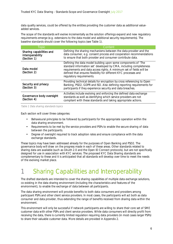data quality services, could be offered by the entities providing the customer data as additional valueadded services.

The scope of the standards will evolve incrementally as the solution offerings expand and new regulatory requirements emerge (e.g. extensions to the data model and additional security requirements). The baseline standards should cover the following topics (see Table 1).

| Topic                                                       | Content                                                                                                                                                                                                                                                                                                     |
|-------------------------------------------------------------|-------------------------------------------------------------------------------------------------------------------------------------------------------------------------------------------------------------------------------------------------------------------------------------------------------------|
| Sharing capabilities and<br>interoperability<br>(Section 1) | Defining the sharing mechanisms between the data provider and the<br>data consumer, e.g. consent process and cooperation recommendations<br>to ensure that both provider and consumer contribute data.                                                                                                      |
| Data model<br>(Section 2)                                   | Defining the data model building upon some components of 'The<br>standard information set' developed by CMA, including completeness<br>requirements and data access rights. A minimum set of fields will be<br>defined that ensures flexibility for different KYC processes and<br>regulatory requirements. |
| Security and privacy<br>(Section 3)                         | Providing technical details for encryption by cross referencing to Open<br>Banking, PSD2, GDPR and ISO. Also defining reporting requirements for<br>participants if they experience security and data breaches.                                                                                             |
| Governance body oversight<br>(Section 4)                    | Activities include evolving and enforcing the defined data exchange<br>standards as well as identifying which service providers are not<br>compliant with these standards and taking appropriate actions.                                                                                                   |

#### Table 1 Data sharing standards topics

Each section will cover three categories:

- Behavioural principles to be followed by participants for the appropriate operation within the data sharing environment.
- Requirements to be met by the service providers and PSPs to enable the secure sharing of data between the participants.
- Degree of oversight required to track adoption rates and ensure compliance with the data exchange standards.

These topics may have been addressed already for the purposes of Open Banking and PSD2. The governance body will draw on the progress made in each of these areas. Other standards related to sharing data are available (such as OAuth 2.0 and the Open ID Connect protocols), but are not specifically designed for use in association with KYC services. The proposed KYC Data Sharing standards are complementary to these and it is anticipated that all standards will develop over time to meet the needs of the evolving market place.

## 1 Sharing Capabilities and Interoperability

The drafted standards are intended to cover the sharing capabilities of multiple data exchange solutions, co-existing in the data sharing environment (including the characteristics and features of the environment), to enable the exchange of data between all participants.

The data sharing environment will provide benefits to both data consumers and providers among participant PSPs and other client service providers. In most cases, the participants will act both as data consumer and data provider, thus extending the range of benefits received from sharing data within the environment.

This environment will only be successful if network participants are willing to share their core set of SME customer data with other PSPs and client service providers. While data consumers will directly profit from receiving the data, there is currently limited regulation requiring data providers (in most cases larger PSPs) to share their valuable customer data. More details are provided in Appendix 2.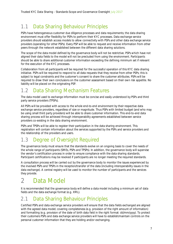### 1.1 Data Sharing Behaviour Principles

PSPs have heterogeneous customer due diligence processes and data requirements; the data sharing environment must offer flexibility for PSPs to perform their KYC processes. Data exchange service providers should establish access models to allow connectivity with PSPs and other data exchange service providers (operating for other PSPs). Every PSP will be able to request and receive information from other peers through the network established between the different data sharing solutions.

The scope of the data model defined by the governance body will not be restrictive. PSPs which have not aligned their data fields to the model will not be precluded from using the environment. Participants should be able to share additional customer information exceeding the defining minimum set if relevant for the execution of the KYC processes.

Collaboration from all participants will be required for the successful operation of this KYC data sharing initiative. PSPs will be required to respond to all data requests that they receive from other PSPs; this is subject to legal constraints and the customer's consent to share the customer attributes. PSPs will be required to draw their own conclusions on the customer assessment based on their own risk appetite. No liability will be placed on the originating PSP.

### 1.2 Data Sharing Mechanism Features

The data model used to exchange information must be concise and easily understood by PSPs and third party service providers (TPSPs).

All PSPs will be provided with access to the whole end-to-end environment by their respective data exchange service providers, regardless of size or magnitude. Thus PSPs with limited budget (and who may be using small third party providers) will be able to share customer information. This end-to-end data sharing process will be achieved through interoperability agreements established between service providers co-existing in the data sharing environment.

PSPs and TPSPs will be able to register their participation in the data sharing environment. This registration will contain information about the services supported by the PSPs and service providers and the relationship of the providers and users.

### 1.3 Degree of Oversight Required

The governance body must ensure that the standards evolve on an ongoing basis to cover the needs of the whole range of participants (SMEs, PSPs and TPSPs). In addition, the governance body will supervise the vendor's certification process in order to ensure compliance with the data sharing standards. Participant certifications may be revoked if participants are no longer meeting the required standards.

A consultation process will be carried out by the governance body to monitor the issues experienced by the involved PSPs and TPSPs in the reception/transfer of the data (including interoperability issues in the data exchange). A central registry will be used to monitor the number of participants and the services they provide.

## 2 Data Model

It is recommended that the governance body will define a data model including a minimum set of data fields and the data exchange format (e.g. XML).

#### 2.1 Data Sharing Behaviour Principles

Certified PSPs and data exchange service providers will ensure that the data fields exchanged are aligned with the agreed data model; covering completeness (e.g. provision of the right amount of information) and formatting (e.g. provision of the date of birth data field in the right format: dd/mm/yyyy). To protect their customers PSPs and data exchange service providers will have to establish/maintain controls on the personal customer information that they are holding and/or exchanging.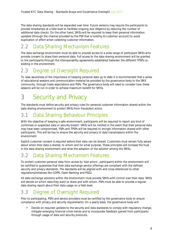The data sharing standards will be expanded over time. Future versions may require the participants to provide timestamps at a field level to facilitate ongoing due diligence by reducing the number of additional data checks. On the other hand, SMEs will be required to keep their personal information updated (through the channel provided by the PSP that is holding its customer account) to avoid duplication of effort when collecting customer information.

### 2.2 Data Sharing Mechanism Features

The data exchange environment must be able to provide access to a wide range of participant SMEs who provide consent to share their personal data. Full access to the data sharing environment will be granted to the participants through the interoperability agreements established between the different TPSPs coexisting in the environment.

### 2.3 Degree of Oversight Required

To raise awareness of the importance of keeping personal data up to date it is recommended that a series of educational sessions and communication material be provided by the governance body to the SME community, through trade associations and PSPs. The governance body will need to consider how these sessions will be run in order to achieve maximum benefit for SMEs.

## 3 Security and Privacy

The standards must define security and privacy rules for personal customer information shared within the data sharing environment to protect SMEs from fraudulent actors.

### 3.1 Data Sharing Behaviour Principles

With the objective of keeping a safe environment, participants will be required to report any kind of confirmed or suspected data or security breach. SMEs will be notified in the event that their personal data may have been compromised. PSPs and TPSPs will be required to encrypt information shared with other participants. This will be key to ensure the security and privacy of data transmissions within the environment.

Explicit customer consent is required before their data can be shared. Customers must remain fully aware about when their data is shared, to whom and for what purpose. These principles will increase the trust in the data sharing environment and drive the adoption of the solution among the SMEs.

### 3.2 Data Sharing Mechanism Features

To protect customer personal data from access by 'bad actors', participants within the environment will be certified to guarantee that their data exchange service offerings are compliant with the defined security and privacy standards. The standards will be aligned with and cross-referenced to other regulations/initiatives like GDPR, Open Banking and PSD2.

All data exchange solutions within the environment must provide SMEs with control over their data. SMEs will decide on which data they want to share and with whom. PSPs must be able to provide a regular data sharing report about their data usage on a field level.

### 3.3 Degree of Oversight Required

Prior to participating, PSPs and service providers must be certified by the governance body to ensure compliance with privacy and security requirements. On a yearly basis, the governance body will:

Decide on required updates to the security and data standards to comply with regulatory change, mitigate emerging financial crime trends and to incorporate feedback gained from participants through usage of data and security protocols.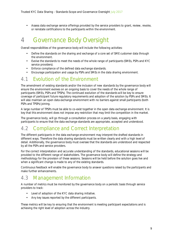Assess data exchange service offerings provided by the service providers to grant, review, revoke, or reinstate certifications to the participants within the environment.

## 4 Governance Body Oversight

Overall responsibilities of the governance body will include the following activities:

- Define the standards on the sharing and exchange of a core set of SME customer data through l. the environment.
- Evolve the standards to meet the needs of the whole range of participants (SMEs, PSPs and KYC service providers).
- Enforce compliance of the defined data exchange standards. t.
- Encourage participation and usage by PSPs and SMEs in the data sharing environment.

#### 4.1 Evolution of the Environment

The amendment of existing standards and/or the inclusion of new standards by the governance body will ensure the environment evolves on an ongoing basis to cover the needs of the whole range of participants (SMEs, PSPs and TPSPs). The continued evolution of the standards will be key to ensure coverage of participant future regulatory requirements and adoption of the solution by PSPs and SMEs. It will also maintain an open data exchange environment with no barriers against small participants (both PSPs and TPSPs) joining.

A large number of TPSPs must be able to co-exist together in the open data exchange environment. It is key that this environment does not impose any restriction that may limit the competition in the market.

The governance body, will go through a consultation process on a yearly basis, engaging with participants to ensure that the data exchange standards are appropriate, accepted and understood.

### 4.2 Compliance and Correct Interpretation

The different participants in the data exchange environment may interpret the drafted standards in different ways. Therefore the data sharing standards must be written clearly and with a high level of detail. Additionally, the governance body must oversee that the standards are understood and respected by all the PSPs and service providers.

For the correct interpretation and accurate understanding of the standards, educational sessions will be provided to the different range of stakeholders. The governance body will define the strategy and methodology for the provision of these sessions. Sessions will be held before the solution goes live and when a significant change is made to any of the existing standards.

Continuous feedback will enable the governance body to answer questions raised by the participants and make further enhancements.

#### 4.3 Management Information

A number of metrics must be monitored by the governance body on a periodic basis through service providers to track:

- Level of adoption of the KYC data sharing initiative.
- Any key issues reported by the different participants.

These metrics will be key to ensuring that the environment is meeting participant expectations and is achieving the right level of adoption across the industry.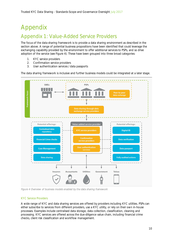# Appendix

### Appendix 1: Value-Added Service Providers

The focus of the data sharing framework is to provide a data sharing environment as described in the section above. A range of potential business propositions have been identified that could leverage the exchanging capability provided by the environment to offer additional services to PSPs, and so drive adoption of the service (see Figure 4). These have been grouped into three broad categories:

- 1. KYC service providers
- 2. Confirmation service providers
- 3. User authentication services / data passports

The data sharing framework is inclusive and further business models could be integrated at a later stage.



Figure 4 Overview of business models enabled by the data sharing framework

#### KYC Service Providers

A wide range of KYC and data sharing services are offered by providers including KYC utilities. PSPs can either subscribe to services from different providers, use a KYC utility, or rely on their own in-house processes. Examples include centralised data storage, data collection, classification, cleaning and processing. KYC services are offered across the due-diligence value chain, including financial crime checks, client risk classification and workflow management.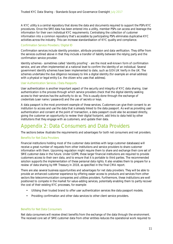A KYC utility is a central repository that stores the data and documents required to support the PSPs KYC procedures. Once the SME data has been entered into a utility, member PSPs can access and leverage the information for their own individual KYC requirements. Centralising the collection of customer information into a common repository that's accessible by participating PSPs eliminates duplicative KYC activities across the industry. This can increase standardisation of KYC quality and compliance.

#### Confirmation Service Providers / Digital ID

Confirmation services include identity provision, attribute provision and data verification. They differ from the services outlined above in that they include a transfer of liability between the relying party and the confirmation service provider.

Identity schemes - sometimes called 'identity proofing' - are the most well-known form of confirmation service, and are often implemented at a national level to confirm the identity of an individual. Several government identify schemes have been implemented to date, such as GOV.UK Verify in the UK. The schemes undertake the due diligence necessary to link a digital identity (for example an email address) with a physical or legal entity (i.e. the citizen who uses that address).

#### User Authentication Services / Data Passports

User authentication is another important aspect of the security and integrity of KYC data sharing. User authentication is the process through which service providers check that the digital identity seeking access to their services has the authority to do so. This is usually done through the exchange of credentials (user name / password) and the use of secrets or keys.

A data passport is the most prominent example of these services. Customers can give their consent to an institution to access and use the data that is already linked to the data passport. As well as providing user authentication and consent at the point of transaction, a data passport could also be accessed directly, giving the customer an opportunity to review their digital footprint, add links to data held by other institutions that they engage with as customers, and update their data.

### Appendix 2: Data Consumers and Data Providers

The sections below illustrate the requirements and advantages for both net consumers and net providers.

#### Benefits for Net Data Providers

Financial institutions holding most of the customer data (entities with large customer databases) will receive a great number of requests from other institutions and service providers to share customer information with them. Upcoming regulation might require them to share and exchange their core set of SME customer data in the future. Under GDPR, these larger financial institutions are required to provide customers access to their own data, and to ensure that it is portable to third parties. The recommended solution supports the implementation of these personal data rights. It also enables them to prepare for a review of data sharing by HM Treasury in 2018, as specified in the final CMA report.

There are also several business opportunities and advantages for net data providers. They will be able to provide an enhanced customer experience by offering easier access to products and services from other sectors like telecommunication companies and utilities providers. Furthermore, these institutions are well positioned to compete in the market for value-adding services, potentially enabling them to partly recover the cost of their existing KYC processes, for example:

- Utilising their trusted brand to offer user authentication services like data passport models.
- Providing confirmation and other data services to other client service providers.

#### Benefits for Net Data Consumers

Net data consumers will receive direct benefits from the exchange of the data through the environment. The received core set of SME customer data from other entities reduces the operational work required to